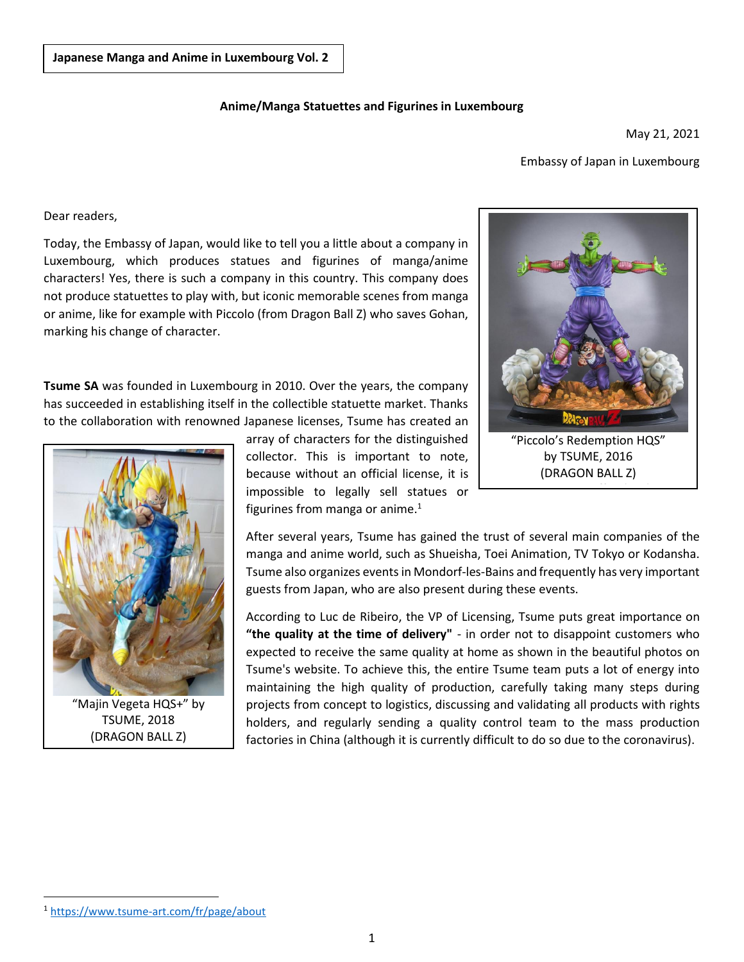## **Anime/Manga Statuettes and Figurines in Luxembourg**

May 21, 2021

## Embassy of Japan in Luxembourg

Dear readers,

Today, the Embassy of Japan, would like to tell you a little about a company in Luxembourg, which produces statues and figurines of manga/anime characters! Yes, there is such a company in this country. This company does not produce statuettes to play with, but iconic memorable scenes from manga or anime, like for example with Piccolo (from Dragon Ball Z) who saves Gohan, marking his change of character.

**Tsume SA** was founded in Luxembourg in 2010. Over the years, the company has succeeded in establishing itself in the collectible statuette market. Thanks to the collaboration with renowned Japanese licenses, Tsume has created an



"Majin Vegeta HQS+" by TSUME, 2018 (DRAGON BALL Z)

array of characters for the distinguished collector. This is important to note, because without an official license, it is impossible to legally sell statues or figurines from manga or anime. $<sup>1</sup>$ </sup>

After several years, Tsume has gained the trust of several main companies of the manga and anime world, such as Shueisha, Toei Animation, TV Tokyo or Kodansha. Tsume also organizes events in Mondorf-les-Bains and frequently has very important guests from Japan, who are also present during these events.

According to Luc de Ribeiro, the VP of Licensing, Tsume puts great importance on **"the quality at the time of delivery"** - in order not to disappoint customers who expected to receive the same quality at home as shown in the beautiful photos on Tsume's website. To achieve this, the entire Tsume team puts a lot of energy into maintaining the high quality of production, carefully taking many steps during projects from concept to logistics, discussing and validating all products with rights holders, and regularly sending a quality control team to the mass production factories in China (although it is currently difficult to do so due to the coronavirus).



"Piccolo's Redemption HQS" by TSUME, 2016 (DRAGON BALL Z)

Picture: TSUME official website

 $\overline{a}$ 

<sup>1</sup> <https://www.tsume-art.com/fr/page/about>